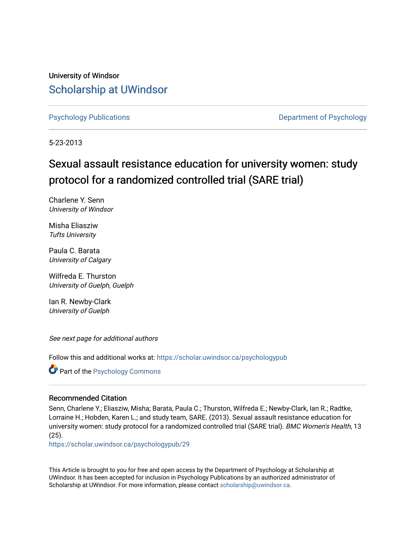University of Windsor [Scholarship at UWindsor](https://scholar.uwindsor.ca/) 

[Psychology Publications](https://scholar.uwindsor.ca/psychologypub) [Department of Psychology](https://scholar.uwindsor.ca/psychology) 

5-23-2013

# Sexual assault resistance education for university women: study protocol for a randomized controlled trial (SARE trial)

Charlene Y. Senn University of Windsor

Misha Eliasziw Tufts University

Paula C. Barata University of Calgary

Wilfreda E. Thurston University of Guelph, Guelph

Ian R. Newby-Clark University of Guelph

See next page for additional authors

Follow this and additional works at: [https://scholar.uwindsor.ca/psychologypub](https://scholar.uwindsor.ca/psychologypub?utm_source=scholar.uwindsor.ca%2Fpsychologypub%2F29&utm_medium=PDF&utm_campaign=PDFCoverPages) 

**C** Part of the Psychology Commons

# Recommended Citation

Senn, Charlene Y.; Eliasziw, Misha; Barata, Paula C.; Thurston, Wilfreda E.; Newby-Clark, Ian R.; Radtke, Lorraine H.; Hobden, Karen L.; and study team, SARE. (2013). Sexual assault resistance education for university women: study protocol for a randomized controlled trial (SARE trial). BMC Women's Health, 13 (25).

[https://scholar.uwindsor.ca/psychologypub/29](https://scholar.uwindsor.ca/psychologypub/29?utm_source=scholar.uwindsor.ca%2Fpsychologypub%2F29&utm_medium=PDF&utm_campaign=PDFCoverPages)

This Article is brought to you for free and open access by the Department of Psychology at Scholarship at UWindsor. It has been accepted for inclusion in Psychology Publications by an authorized administrator of Scholarship at UWindsor. For more information, please contact [scholarship@uwindsor.ca.](mailto:scholarship@uwindsor.ca)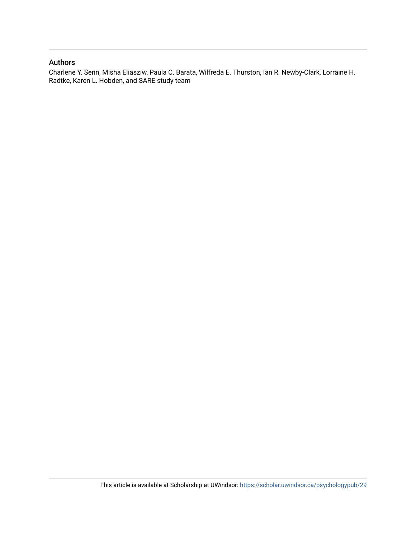# Authors

Charlene Y. Senn, Misha Eliasziw, Paula C. Barata, Wilfreda E. Thurston, Ian R. Newby-Clark, Lorraine H. Radtke, Karen L. Hobden, and SARE study team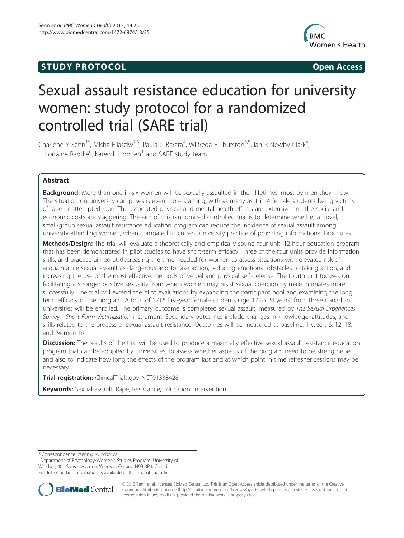# **STUDY PROTOCOL CONSUMING THE STUDY PROTOCOL**



# Sexual assault resistance education for university women: study protocol for a randomized controlled trial (SARE trial)

Charlene Y Senn<sup>1\*</sup>, Misha Eliasziw<sup>2,3</sup>, Paula C Barata<sup>4</sup>, Wilfreda E Thurston<sup>3,5</sup>, Ian R Newby-Clark<sup>4</sup> , H Lorraine Radtke<sup>6</sup>, Karen L Hobden<sup>1</sup> and SARE study team

# Abstract

Background: More than one in six women will be sexually assaulted in their lifetimes, most by men they know. The situation on university campuses is even more startling, with as many as 1 in 4 female students being victims of rape or attempted rape. The associated physical and mental health effects are extensive and the social and economic costs are staggering. The aim of this randomized controlled trial is to determine whether a novel, small-group sexual assault resistance education program can reduce the incidence of sexual assault among university-attending women, when compared to current university practice of providing informational brochures.

Methods/Design: The trial will evaluate a theoretically and empirically sound four-unit, 12-hour education program that has been demonstrated in pilot studies to have short-term efficacy. Three of the four units provide information, skills, and practice aimed at decreasing the time needed for women to assess situations with elevated risk of acquaintance sexual assault as dangerous and to take action, reducing emotional obstacles to taking action, and increasing the use of the most effective methods of verbal and physical self-defense. The fourth unit focuses on facilitating a stronger positive sexuality from which women may resist sexual coercion by male intimates more successfully. The trial will extend the pilot evaluations by expanding the participant pool and examining the long term efficacy of the program. A total of 1716 first-year female students (age 17 to 24 years) from three Canadian universities will be enrolled. The primary outcome is completed sexual assault, measured by The Sexual Experiences Survey - Short Form Victimization instrument. Secondary outcomes include changes in knowledge, attitudes, and skills related to the process of sexual assault resistance. Outcomes will be measured at baseline, 1 week, 6, 12, 18, and 24 months.

Discussion: The results of the trial will be used to produce a maximally effective sexual assault resistance education program that can be adopted by universities, to assess whether aspects of the program need to be strengthened, and also to indicate how long the effects of the program last and at which point in time refresher sessions may be necessary.

Trial registration: ClinicalTrials.gov [NCT01338428](http://clinicaltrials.gov/show/NCT01338428)

Keywords: Sexual assault, Rape, Resistance, Education, Intervention

Department of Psychology/Women's Studies Program, University of Windsor, 401 Sunset Avenue, Windsor, Ontario N9B 3P4, Canada Full list of author information is available at the end of the article



© 2013 Senn et al.; licensee BioMed Central Ltd. This is an Open Access article distributed under the terms of the Creative Commons Attribution License [\(http://creativecommons.org/licenses/by/2.0\)](http://creativecommons.org/licenses/by/2.0), which permits unrestricted use, distribution, and reproduction in any medium, provided the original work is properly cited.

<sup>\*</sup> Correspondence: [csenn@uwindsor.ca](mailto:csenn@uwindsor.ca) <sup>1</sup>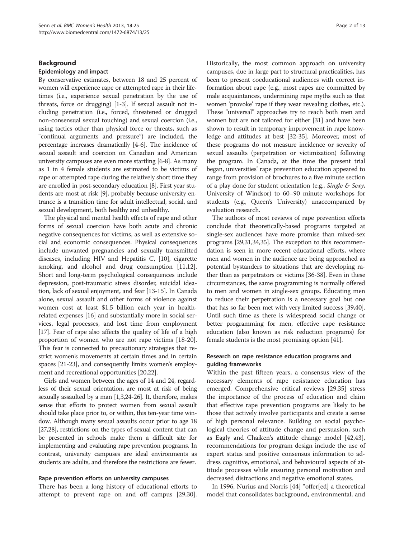#### Background

#### Epidemiology and impact

By conservative estimates, between 18 and 25 percent of women will experience rape or attempted rape in their lifetimes (i.e., experience sexual penetration by the use of threats, force or drugging) [\[1-3](#page-12-0)]. If sexual assault not including penetration (i.e., forced, threatened or drugged non-consensual sexual touching) and sexual coercion (i.e., using tactics other than physical force or threats, such as "continual arguments and pressure") are included, the percentage increases dramatically [[4-6\]](#page-12-0). The incidence of sexual assault and coercion on Canadian and American university campuses are even more startling [\[6-8\]](#page-12-0). As many as 1 in 4 female students are estimated to be victims of rape or attempted rape during the relatively short time they are enrolled in post-secondary education [\[8](#page-12-0)]. First year students are most at risk [[9\]](#page-12-0), probably because university entrance is a transition time for adult intellectual, social, and sexual development, both healthy and unhealthy.

The physical and mental health effects of rape and other forms of sexual coercion have both acute and chronic negative consequences for victims, as well as extensive social and economic consequences. Physical consequences include unwanted pregnancies and sexually transmitted diseases, including HIV and Hepatitis C, [[10](#page-12-0)], cigarette smoking, and alcohol and drug consumption [\[11,12](#page-12-0)]. Short and long-term psychological consequences include depression, post-traumatic stress disorder, suicidal ideation, lack of sexual enjoyment, and fear [[13](#page-12-0)-[15\]](#page-12-0). In Canada alone, sexual assault and other forms of violence against women cost at least \$1.5 billion each year in healthrelated expenses [[16](#page-12-0)] and substantially more in social services, legal processes, and lost time from employment [[17](#page-12-0)]. Fear of rape also affects the quality of life of a high proportion of women who are not rape victims [[18](#page-13-0)-[20](#page-13-0)]. This fear is connected to precautionary strategies that restrict women's movements at certain times and in certain spaces [[21](#page-13-0)-[23](#page-13-0)], and consequently limits women's employment and recreational opportunities [\[20,22\]](#page-13-0).

Girls and women between the ages of 14 and 24, regardless of their sexual orientation, are most at risk of being sexually assaulted by a man [\[1,3](#page-12-0)[,24-26\]](#page-13-0). It, therefore, makes sense that efforts to protect women from sexual assault should take place prior to, or within, this ten-year time window. Although many sexual assaults occur prior to age 18 [[27,28\]](#page-13-0), restrictions on the types of sexual content that can be presented in schools make them a difficult site for implementing and evaluating rape prevention programs. In contrast, university campuses are ideal environments as students are adults, and therefore the restrictions are fewer.

#### Rape prevention efforts on university campuses

There has been a long history of educational efforts to attempt to prevent rape on and off campus [\[29,30](#page-13-0)]. Historically, the most common approach on university campuses, due in large part to structural practicalities, has been to present coeducational audiences with correct information about rape (e.g., most rapes are committed by male acquaintances, undermining rape myths such as that women 'provoke' rape if they wear revealing clothes, etc.). These "universal" approaches try to reach both men and women but are not tailored for either [\[31\]](#page-13-0) and have been shown to result in temporary improvement in rape knowledge and attitudes at best [[32-35\]](#page-13-0). Moreover, most of these programs do not measure incidence or severity of sexual assaults (perpetration or victimization) following the program. In Canada, at the time the present trial began, universities' rape prevention education appeared to range from provision of brochures to a five minute section of a play done for student orientation (e.g., Single  $\&$  Sexy, University of Windsor) to 60–90 minute workshops for students (e.g., Queen's University) unaccompanied by evaluation research.

The authors of most reviews of rape prevention efforts conclude that theoretically-based programs targeted at single-sex audiences have more promise than mixed-sex programs [\[29,31,34,35\]](#page-13-0). The exception to this recommendation is seen in more recent educational efforts, where men and women in the audience are being approached as potential bystanders to situations that are developing rather than as perpetrators or victims [\[36-38\]](#page-13-0). Even in these circumstances, the same programming is normally offered to men and women in single-sex groups. Educating men to reduce their perpetration is a necessary goal but one that has so far been met with very limited success [\[39,40](#page-13-0)]. Until such time as there is widespread social change or better programming for men, effective rape resistance education (also known as risk reduction programs) for female students is the most promising option [[41\]](#page-13-0).

#### Research on rape resistance education programs and guiding frameworks

Within the past fifteen years, a consensus view of the necessary elements of rape resistance education has emerged. Comprehensive critical reviews [\[29,35\]](#page-13-0) stress the importance of the process of education and claim that effective rape prevention programs are likely to be those that actively involve participants and create a sense of high personal relevance. Building on social psychological theories of attitude change and persuasion, such as Eagly and Chaiken's attitude change model [\[42,43](#page-13-0)], recommendations for program design include the use of expert status and positive consensus information to address cognitive, emotional, and behavioural aspects of attitude processes while ensuring personal motivation and decreased distractions and negative emotional states.

In 1996, Nurius and Norris [[44\]](#page-13-0) "offer[ed] a theoretical model that consolidates background, environmental, and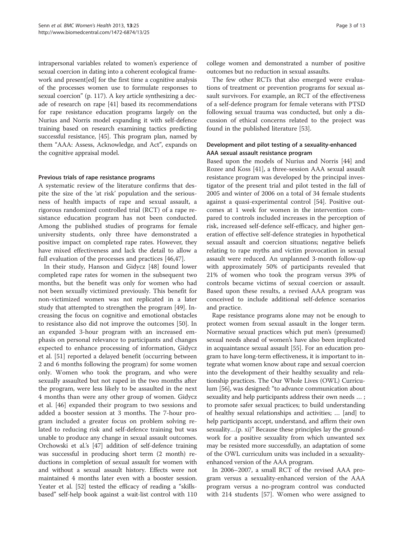intrapersonal variables related to women's experience of sexual coercion in dating into a coherent ecological framework and present[ed] for the first time a cognitive analysis of the processes women use to formulate responses to sexual coercion" (p. 117). A key article synthesizing a decade of research on rape [\[41\]](#page-13-0) based its recommendations for rape resistance education programs largely on the Nurius and Norris model expanding it with self-defence training based on research examining tactics predicting successful resistance, [\[45](#page-13-0)]. This program plan, named by them "AAA: Assess, Acknowledge, and Act", expands on the cognitive appraisal model.

#### Previous trials of rape resistance programs

A systematic review of the literature confirms that despite the size of the 'at risk' population and the seriousness of health impacts of rape and sexual assault, a rigorous randomized controlled trial (RCT) of a rape resistance education program has not been conducted. Among the published studies of programs for female university students, only three have demonstrated a positive impact on completed rape rates. However, they have mixed effectiveness and lack the detail to allow a full evaluation of the processes and practices [\[46,47\]](#page-13-0).

In their study, Hanson and Gidycz [[48\]](#page-13-0) found lower completed rape rates for women in the subsequent two months, but the benefit was only for women who had not been sexually victimized previously. This benefit for non-victimized women was not replicated in a later study that attempted to strengthen the program [\[49\]](#page-13-0). Increasing the focus on cognitive and emotional obstacles to resistance also did not improve the outcomes [\[50](#page-13-0)]. In an expanded 3-hour program with an increased emphasis on personal relevance to participants and changes expected to enhance processing of information, Gidycz et al. [\[51](#page-13-0)] reported a delayed benefit (occurring between 2 and 6 months following the program) for some women only. Women who took the program, and who were sexually assaulted but not raped in the two months after the program, were less likely to be assaulted in the next 4 months than were any other group of women. Gidycz et al. [[46\]](#page-13-0) expanded their program to two sessions and added a booster session at 3 months. The 7-hour program included a greater focus on problem solving related to reducing risk and self-defence training but was unable to produce any change in sexual assault outcomes. Orchowski et al.'s [\[47\]](#page-13-0) addition of self-defence training was successful in producing short term (2 month) reductions in completion of sexual assault for women with and without a sexual assault history. Effects were not maintained 4 months later even with a booster session. Yeater et al. [\[52\]](#page-13-0) tested the efficacy of reading a "skillsbased" self-help book against a wait-list control with 110 college women and demonstrated a number of positive outcomes but no reduction in sexual assaults.

The few other RCTs that also emerged were evaluations of treatment or prevention programs for sexual assault survivors. For example, an RCT of the effectiveness of a self-defence program for female veterans with PTSD following sexual trauma was conducted, but only a discussion of ethical concerns related to the project was found in the published literature [\[53\]](#page-13-0).

#### Development and pilot testing of a sexuality-enhanced AAA sexual assault resistance program

Based upon the models of Nurius and Norris [\[44](#page-13-0)] and Rozee and Koss [[41\]](#page-13-0), a three-session AAA sexual assault resistance program was developed by the principal investigator of the present trial and pilot tested in the fall of 2005 and winter of 2006 on a total of 34 female students against a quasi-experimental control [[54\]](#page-13-0). Positive outcomes at 1 week for women in the intervention compared to controls included increases in the perception of risk, increased self-defence self-efficacy, and higher generation of effective self-defence strategies in hypothetical sexual assault and coercion situations; negative beliefs relating to rape myths and victim provocation in sexual assault were reduced. An unplanned 3-month follow-up with approximately 50% of participants revealed that 21% of women who took the program versus 39% of controls became victims of sexual coercion or assault. Based upon these results, a revised AAA program was conceived to include additional self-defence scenarios and practice.

Rape resistance programs alone may not be enough to protect women from sexual assault in the longer term. Normative sexual practices which put men's (presumed) sexual needs ahead of women's have also been implicated in acquaintance sexual assault [[55](#page-13-0)]. For an education program to have long-term effectiveness, it is important to integrate what women know about rape and sexual coercion into the development of their healthy sexuality and relationship practices. The Our Whole Lives (OWL) Curriculum [\[56\]](#page-13-0), was designed: "to advance communication about sexuality and help participants address their own needs … ; to promote safer sexual practices; to build understanding of healthy sexual relationships and activities; … [and] to help participants accept, understand, and affirm their own sexuality…(p. xi)" Because these principles lay the groundwork for a positive sexuality from which unwanted sex may be resisted more successfully, an adaptation of some of the OWL curriculum units was included in a sexualityenhanced version of the AAA program.

In 2006–2007, a small RCT of the revised AAA program versus a sexuality-enhanced version of the AAA program versus a no-program control was conducted with 214 students [\[57](#page-13-0)]. Women who were assigned to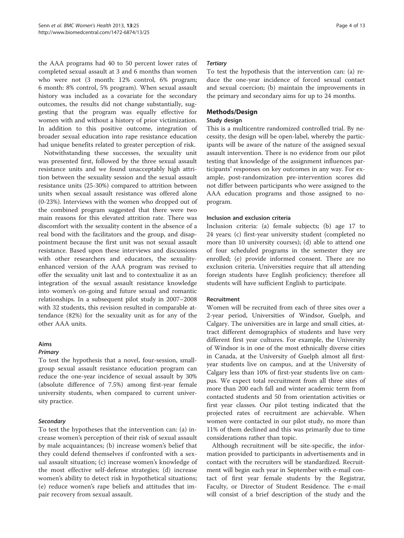the AAA programs had 40 to 50 percent lower rates of completed sexual assault at 3 and 6 months than women who were not (3 month: 12% control, 6% program; 6 month: 8% control, 5% program). When sexual assault history was included as a covariate for the secondary outcomes, the results did not change substantially, suggesting that the program was equally effective for women with and without a history of prior victimization. In addition to this positive outcome, integration of broader sexual education into rape resistance education had unique benefits related to greater perception of risk.

Notwithstanding these successes, the sexuality unit was presented first, followed by the three sexual assault resistance units and we found unacceptably high attrition between the sexuality session and the sexual assault resistance units (25-30%) compared to attrition between units when sexual assault resistance was offered alone (0-23%). Interviews with the women who dropped out of the combined program suggested that there were two main reasons for this elevated attrition rate. There was discomfort with the sexuality content in the absence of a real bond with the facilitators and the group, and disappointment because the first unit was not sexual assault resistance. Based upon these interviews and discussions with other researchers and educators, the sexualityenhanced version of the AAA program was revised to offer the sexuality unit last and to contextualize it as an integration of the sexual assault resistance knowledge into women's on-going and future sexual and romantic relationships. In a subsequent pilot study in 2007–2008 with 32 students, this revision resulted in comparable attendance (82%) for the sexuality unit as for any of the other AAA units.

#### Aims

#### Primary

To test the hypothesis that a novel, four-session, smallgroup sexual assault resistance education program can reduce the one-year incidence of sexual assault by 30% (absolute difference of 7.5%) among first-year female university students, when compared to current university practice.

#### **Secondary**

To test the hypotheses that the intervention can: (a) increase women's perception of their risk of sexual assault by male acquaintances; (b) increase women's belief that they could defend themselves if confronted with a sexual assault situation; (c) increase women's knowledge of the most effective self-defense strategies; (d) increase women's ability to detect risk in hypothetical situations; (e) reduce women's rape beliefs and attitudes that impair recovery from sexual assault.

#### **Tertiary**

To test the hypothesis that the intervention can: (a) reduce the one-year incidence of forced sexual contact and sexual coercion; (b) maintain the improvements in the primary and secondary aims for up to 24 months.

#### Methods/Design

#### Study design

This is a multicentre randomized controlled trial. By necessity, the design will be open-label, whereby the participants will be aware of the nature of the assigned sexual assault intervention. There is no evidence from our pilot testing that knowledge of the assignment influences participants' responses on key outcomes in any way. For example, post-randomization pre-intervention scores did not differ between participants who were assigned to the AAA education programs and those assigned to noprogram.

#### Inclusion and exclusion criteria

Inclusion criteria: (a) female subjects; (b) age 17 to 24 years; (c) first-year university student (completed no more than 10 university courses); (d) able to attend one of four scheduled programs in the semester they are enrolled; (e) provide informed consent. There are no exclusion criteria. Universities require that all attending foreign students have English proficiency; therefore all students will have sufficient English to participate.

#### Recruitment

Women will be recruited from each of three sites over a 2-year period, Universities of Windsor, Guelph, and Calgary. The universities are in large and small cities, attract different demographics of students and have very different first year cultures. For example, the University of Windsor is in one of the most ethnically diverse cities in Canada, at the University of Guelph almost all firstyear students live on campus, and at the University of Calgary less than 10% of first-year students live on campus. We expect total recruitment from all three sites of more than 200 each fall and winter academic term from contacted students and 50 from orientation activities or first year classes. Our pilot testing indicated that the projected rates of recruitment are achievable. When women were contacted in our pilot study, no more than 11% of them declined and this was primarily due to time considerations rather than topic.

Although recruitment will be site-specific, the information provided to participants in advertisements and in contact with the recruiters will be standardized. Recruitment will begin each year in September with e-mail contact of first year female students by the Registrar, Faculty, or Director of Student Residence. The e-mail will consist of a brief description of the study and the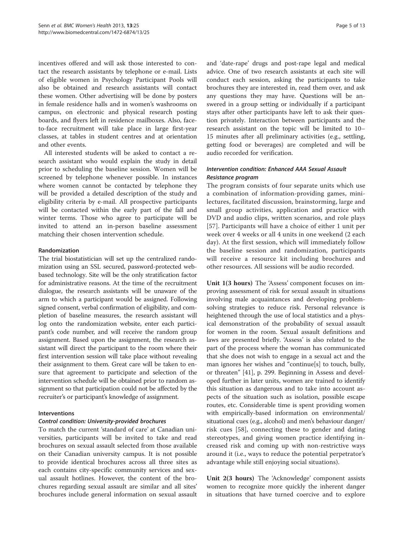incentives offered and will ask those interested to contact the research assistants by telephone or e-mail. Lists of eligible women in Psychology Participant Pools will also be obtained and research assistants will contact these women. Other advertising will be done by posters in female residence halls and in women's washrooms on campus, on electronic and physical research posting boards, and flyers left in residence mailboxes. Also, faceto-face recruitment will take place in large first-year classes, at tables in student centres and at orientation and other events.

All interested students will be asked to contact a research assistant who would explain the study in detail prior to scheduling the baseline session. Women will be screened by telephone whenever possible. In instances where women cannot be contacted by telephone they will be provided a detailed description of the study and eligibility criteria by e-mail. All prospective participants will be contacted within the early part of the fall and winter terms. Those who agree to participate will be invited to attend an in-person baseline assessment matching their chosen intervention schedule.

#### Randomization

The trial biostatistician will set up the centralized randomization using an SSL secured, password-protected webbased technology. Site will be the only stratification factor for administrative reasons. At the time of the recruitment dialogue, the research assistants will be unaware of the arm to which a participant would be assigned. Following signed consent, verbal confirmation of eligibility, and completion of baseline measures, the research assistant will log onto the randomization website, enter each participant's code number, and will receive the random group assignment. Based upon the assignment, the research assistant will direct the participant to the room where their first intervention session will take place without revealing their assignment to them. Great care will be taken to ensure that agreement to participate and selection of the intervention schedule will be obtained prior to random assignment so that participation could not be affected by the recruiter's or participant's knowledge of assignment.

#### Interventions

#### Control condition: University-provided brochures

To match the current 'standard of care' at Canadian universities, participants will be invited to take and read brochures on sexual assault selected from those available on their Canadian university campus. It is not possible to provide identical brochures across all three sites as each contains city-specific community services and sexual assault hotlines. However, the content of the brochures regarding sexual assault are similar and all sites' brochures include general information on sexual assault

and 'date-rape' drugs and post-rape legal and medical advice. One of two research assistants at each site will conduct each session, asking the participants to take brochures they are interested in, read them over, and ask any questions they may have. Questions will be answered in a group setting or individually if a participant stays after other participants have left to ask their question privately. Interaction between participants and the research assistant on the topic will be limited to 10– 15 minutes after all preliminary activities (e.g., settling, getting food or beverages) are completed and will be audio recorded for verification.

## Intervention condition: Enhanced AAA Sexual Assault Resistance program

The program consists of four separate units which use a combination of information-providing games, minilectures, facilitated discussion, brainstorming, large and small group activities, application and practice with DVD and audio clips, written scenarios, and role plays [[57](#page-13-0)]. Participants will have a choice of either 1 unit per week over 4 weeks or all 4 units in one weekend (2 each day). At the first session, which will immediately follow the baseline session and randomization, participants will receive a resource kit including brochures and other resources. All sessions will be audio recorded.

Unit 1(3 hours) The 'Assess' component focuses on improving assessment of risk for sexual assault in situations involving male acquaintances and developing problemsolving strategies to reduce risk. Personal relevance is heightened through the use of local statistics and a physical demonstration of the probability of sexual assault for women in the room. Sexual assault definitions and laws are presented briefly. 'Assess' is also related to the part of the process where the woman has communicated that she does not wish to engage in a sexual act and the man ignores her wishes and "continue[s] to touch, bully, or threaten" [[41\]](#page-13-0), p. 299. Beginning in Assess and developed further in later units, women are trained to identify this situation as dangerous and to take into account aspects of the situation such as isolation, possible escape routes, etc. Considerable time is spent providing women with empirically-based information on environmental/ situational cues (e.g., alcohol) and men's behaviour danger/ risk cues [[58\]](#page-13-0), connecting these to gender and dating stereotypes, and giving women practice identifying increased risk and coming up with non-restrictive ways around it (i.e., ways to reduce the potential perpetrator's advantage while still enjoying social situations).

Unit 2(3 hours) The 'Acknowledge' component assists women to recognize more quickly the inherent danger in situations that have turned coercive and to explore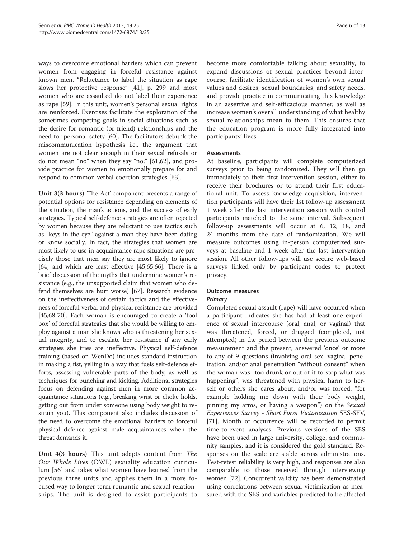ways to overcome emotional barriers which can prevent women from engaging in forceful resistance against known men. "Reluctance to label the situation as rape slows her protective response" [[41\]](#page-13-0), p. 299 and most women who are assaulted do not label their experience as rape [\[59](#page-13-0)]. In this unit, women's personal sexual rights are reinforced. Exercises facilitate the exploration of the sometimes competing goals in social situations such as the desire for romantic (or friend) relationships and the need for personal safety [[60\]](#page-13-0). The facilitators debunk the miscommunication hypothesis i.e., the argument that women are not clear enough in their sexual refusals or do not mean "no" when they say "no;" [[61,62\]](#page-13-0), and provide practice for women to emotionally prepare for and respond to common verbal coercion strategies [[63\]](#page-13-0).

Unit 3(3 hours) The 'Act' component presents a range of potential options for resistance depending on elements of the situation, the man's actions, and the success of early strategies. Typical self-defence strategies are often rejected by women because they are reluctant to use tactics such as "keys in the eye" against a man they have been dating or know socially. In fact, the strategies that women are most likely to use in acquaintance rape situations are precisely those that men say they are most likely to ignore [[64](#page-13-0)] and which are least effective [\[45,65,66](#page-13-0)]. There is a brief discussion of the myths that undermine women's resistance (e.g., the unsupported claim that women who defend themselves are hurt worse) [\[67\]](#page-13-0). Research evidence on the ineffectiveness of certain tactics and the effectiveness of forceful verbal and physical resistance are provided [[45,68](#page-13-0)-[70](#page-13-0)]. Each woman is encouraged to create a 'tool box' of forceful strategies that she would be willing to employ against a man she knows who is threatening her sexual integrity, and to escalate her resistance if any early strategies she tries are ineffective. Physical self-defence training (based on WenDo) includes standard instruction in making a fist, yelling in a way that fuels self-defence efforts, assessing vulnerable parts of the body, as well as techniques for punching and kicking. Additional strategies focus on defending against men in more common acquaintance situations (e.g., breaking wrist or choke holds, getting out from under someone using body weight to restrain you). This component also includes discussion of the need to overcome the emotional barriers to forceful physical defence against male acquaintances when the threat demands it.

Unit 4(3 hours) This unit adapts content from The Our Whole Lives (OWL) sexuality education curriculum [[56\]](#page-13-0) and takes what women have learned from the previous three units and applies them in a more focused way to longer term romantic and sexual relationships. The unit is designed to assist participants to

become more comfortable talking about sexuality, to expand discussions of sexual practices beyond intercourse, facilitate identification of women's own sexual values and desires, sexual boundaries, and safety needs, and provide practice in communicating this knowledge in an assertive and self-efficacious manner, as well as increase women's overall understanding of what healthy sexual relationships mean to them. This ensures that the education program is more fully integrated into participants' lives.

#### Assessments

At baseline, participants will complete computerized surveys prior to being randomized. They will then go immediately to their first intervention session, either to receive their brochures or to attend their first educational unit. To assess knowledge acquisition, intervention participants will have their 1st follow-up assessment 1 week after the last intervention session with control participants matched to the same interval. Subsequent follow-up assessments will occur at 6, 12, 18, and 24 months from the date of randomization. We will measure outcomes using in-person computerized surveys at baseline and 1 week after the last intervention session. All other follow-ups will use secure web-based surveys linked only by participant codes to protect privacy.

# Outcome measures

#### Primary

Completed sexual assault (rape) will have occurred when a participant indicates she has had at least one experience of sexual intercourse (oral, anal, or vaginal) that was threatened, forced, or drugged (completed, not attempted) in the period between the previous outcome measurement and the present; answered 'once' or more to any of 9 questions (involving oral sex, vaginal penetration, and/or anal penetration "without consent" when the woman was "too drunk or out of it to stop what was happening", was threatened with physical harm to herself or others she cares about, and/or was forced, "for example holding me down with their body weight, pinning my arms, or having a weapon") on the Sexual Experiences Survey - Short Form Victimization SES-SFV, [[71\]](#page-14-0). Month of occurrence will be recorded to permit time-to-event analyses. Previous versions of the SES have been used in large university, college, and community samples, and it is considered the gold standard. Responses on the scale are stable across administrations. Test-retest reliability is very high, and responses are also comparable to those received through interviewing women [\[72\]](#page-14-0). Concurrent validity has been demonstrated using correlations between sexual victimization as measured with the SES and variables predicted to be affected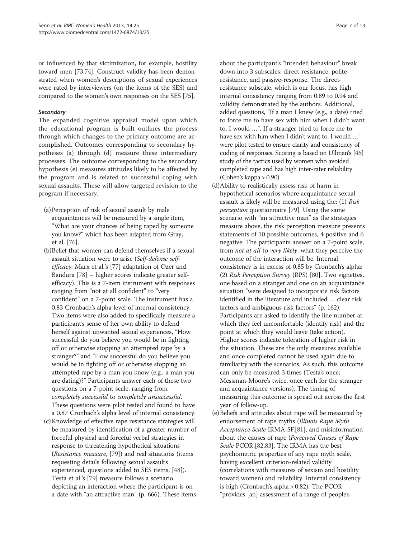or influenced by that victimization, for example, hostility toward men [\[73,74](#page-14-0)]. Construct validity has been demonstrated when women's descriptions of sexual experiences were rated by interviewers (on the items of the SES) and compared to the women's own responses on the SES [\[75](#page-14-0)].

#### **Secondary**

The expanded cognitive appraisal model upon which the educational program is built outlines the process through which changes to the primary outcome are accomplished. Outcomes corresponding to secondary hypotheses (a) through (d) measure these intermediary processes. The outcome corresponding to the secondary hypothesis (e) measures attitudes likely to be affected by the program and is related to successful coping with sexual assaults. These will allow targeted revision to the program if necessary.

- (a)Perception of risk of sexual assault by male acquaintances will be measured by a single item, "What are your chances of being raped by someone you know?" which has been adapted from Gray, et al. [[76](#page-14-0)].
- (b)Belief that women can defend themselves if a sexual assault situation were to arise (Self-defense selfefficacy: Marx et al.'s [\[77](#page-14-0)] adaptation of Ozer and Bandura [\[78\]](#page-14-0) – higher scores indicate greater selfefficacy). This is a 7-item instrument with responses ranging from "not at all confident" to "very confident" on a 7-point scale. The instrument has a 0.83 Cronbach's alpha level of internal consistency. Two items were also added to specifically measure a participant's sense of her own ability to defend herself against unwanted sexual experiences, "How successful do you believe you would be in fighting off or otherwise stopping an attempted rape by a stranger?" and "How successful do you believe you would be in fighting off or otherwise stopping an attempted rape by a man you know (e.g., a man you are dating)?" Participants answer each of these two questions on a 7-point scale, ranging from completely successful to completely unsuccessful. These questions were pilot tested and found to have a 0.87 Cronbach's alpha level of internal consistency.
- (c)Knowledge of effective rape resistance strategies will be measured by identification of a greater number of forceful physical and forceful verbal strategies in response to threatening hypothetical situations (Resistance measure, [[79](#page-14-0)]) and real situations (items requesting details following sexual assaults experienced, questions added to SES items, [[48](#page-13-0)]). Testa et al.'s [\[79](#page-14-0)] measure follows a scenario depicting an interaction where the participant is on a date with "an attractive man" (p. 666). These items

about the participant's "intended behaviour" break down into 3 subscales: direct-resistance, politeresistance, and passive-response. The directresistance subscale, which is our focus, has high internal consistency ranging from 0.89 to 0.94 and validity demonstrated by the authors. Additional, added questions, "If a man I knew (e.g., a date) tried to force me to have sex with him when I didn't want to, I would …", If a stranger tried to force me to have sex with him when I didn't want to, I would ...' were pilot tested to ensure clarity and consistency of coding of responses. Scoring is based on Ullman's [\[45](#page-13-0)] study of the tactics used by women who avoided completed rape and has high inter-rater reliability (Cohen's kappa > 0.90).

- (d)Ability to realistically assess risk of harm in hypothetical scenarios where acquaintance sexual assault is likely will be measured using the: (1) Risk perception questionnaire [[79](#page-14-0)]. Using the same scenario with "an attractive man" as the strategies measure above, the risk perception measure presents statements of 10 possible outcomes, 4 positive and 6 negative. The participants answer on a 7-point scale, from not at all to very likely, what they perceive the outcome of the interaction will be. Internal consistency is in excess of 0.85 by Cronbach's alpha; (2) Risk Perception Survey (RPS) [[80\]](#page-14-0). Two vignettes, one based on a stranger and one on an acquaintance situation "were designed to incorporate risk factors identified in the literature and included … clear risk factors and ambiguous risk factors" (p. 162). Participants are asked to identify the line number at which they feel uncomfortable (identify risk) and the point at which they would leave (take action). Higher scores indicate toleration of higher risk in the situation. These are the only measures available and once completed cannot be used again due to familiarity with the scenarios. As such, this outcome can only be measured 3 times (Testa's once; Messman-Moore's twice, once each for the stranger and acquaintance versions). The timing of measuring this outcome is spread out across the first year of follow-up.
- (e)Beliefs and attitudes about rape will be measured by endorsement of rape myths (Illinois Rape Myth Acceptance Scale IRMA-SF,[[81\]](#page-14-0), and misinformation about the causes of rape (Perceived Causes of Rape Scale PCOR,[[82,83](#page-14-0)]. The IRMA has the best psychometric properties of any rape myth scale, having excellent criterion-related validity (correlations with measures of sexism and hostility toward women) and reliability. Internal consistency is high (Cronbach's alpha > 0.82). The PCOR "provides [an] assessment of a range of people's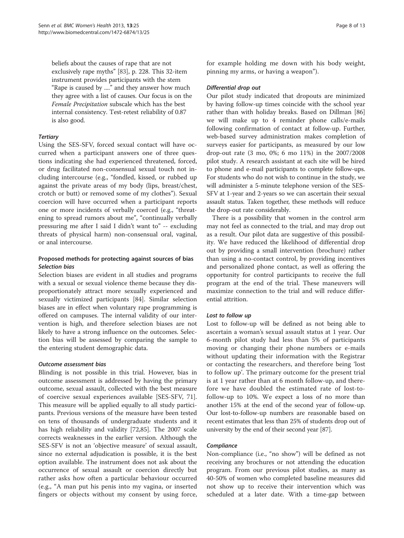beliefs about the causes of rape that are not exclusively rape myths" [\[83](#page-14-0)], p. 228. This 32-item instrument provides participants with the stem "Rape is caused by ...." and they answer how much they agree with a list of causes. Our focus is on the Female Precipitation subscale which has the best internal consistency. Test-retest reliability of 0.87 is also good.

#### **Tertiary**

Using the SES-SFV, forced sexual contact will have occurred when a participant answers one of three questions indicating she had experienced threatened, forced, or drug facilitated non-consensual sexual touch not including intercourse (e.g., "fondled, kissed, or rubbed up against the private areas of my body (lips, breast/chest, crotch or butt) or removed some of my clothes"). Sexual coercion will have occurred when a participant reports one or more incidents of verbally coerced (e.g., "threatening to spread rumors about me", "continually verbally pressuring me after I said I didn't want to" -- excluding threats of physical harm) non-consensual oral, vaginal, or anal intercourse.

### Proposed methods for protecting against sources of bias Selection bias

Selection biases are evident in all studies and programs with a sexual or sexual violence theme because they disproportionately attract more sexually experienced and sexually victimized participants [\[84\]](#page-14-0). Similar selection biases are in effect when voluntary rape programming is offered on campuses. The internal validity of our intervention is high, and therefore selection biases are not likely to have a strong influence on the outcomes. Selection bias will be assessed by comparing the sample to the entering student demographic data.

#### Outcome assessment bias

Blinding is not possible in this trial. However, bias in outcome assessment is addressed by having the primary outcome, sexual assault, collected with the best measure of coercive sexual experiences available [SES-SFV, 71]. This measure will be applied equally to all study participants. Previous versions of the measure have been tested on tens of thousands of undergraduate students and it has high reliability and validity [\[72,85\]](#page-14-0). The 2007 scale corrects weaknesses in the earlier version. Although the SES-SFV is not an 'objective measure' of sexual assault, since no external adjudication is possible, it is the best option available. The instrument does not ask about the occurrence of sexual assault or coercion directly but rather asks how often a particular behaviour occurred (e.g., "A man put his penis into my vagina, or inserted fingers or objects without my consent by using force, for example holding me down with his body weight, pinning my arms, or having a weapon").

#### Differential drop out

Our pilot study indicated that dropouts are minimized by having follow-up times coincide with the school year rather than with holiday breaks. Based on Dillman [[86](#page-14-0)] we will make up to 4 reminder phone calls/e-mails following confirmation of contact at follow-up. Further, web-based survey administration makes completion of surveys easier for participants, as measured by our low drop-out rate (3 mo, 0%; 6 mo 11%) in the 2007/2008 pilot study. A research assistant at each site will be hired to phone and e-mail participants to complete follow-ups. For students who do not wish to continue in the study, we will administer a 5-minute telephone version of the SES-SFV at 1-year and 2-years so we can ascertain their sexual assault status. Taken together, these methods will reduce the drop-out rate considerably.

There is a possibility that women in the control arm may not feel as connected to the trial, and may drop out as a result. Our pilot data are suggestive of this possibility. We have reduced the likelihood of differential drop out by providing a small intervention (brochure) rather than using a no-contact control, by providing incentives and personalized phone contact, as well as offering the opportunity for control participants to receive the full program at the end of the trial. These maneuvers will maximize connection to the trial and will reduce differential attrition.

#### Lost to follow up

Lost to follow-up will be defined as not being able to ascertain a woman's sexual assault status at 1 year. Our 6-month pilot study had less than 5% of participants moving or changing their phone numbers or e-mails without updating their information with the Registrar or contacting the researchers, and therefore being 'lost to follow up'. The primary outcome for the present trial is at 1 year rather than at 6 month follow-up, and therefore we have doubled the estimated rate of lost-tofollow-up to 10%. We expect a loss of no more than another 15% at the end of the second year of follow-up. Our lost-to-follow-up numbers are reasonable based on recent estimates that less than 25% of students drop out of university by the end of their second year [\[87\]](#page-14-0).

#### **Compliance**

Non-compliance (i.e., "no show") will be defined as not receiving any brochures or not attending the education program. From our previous pilot studies, as many as 40-50% of women who completed baseline measures did not show up to receive their intervention which was scheduled at a later date. With a time-gap between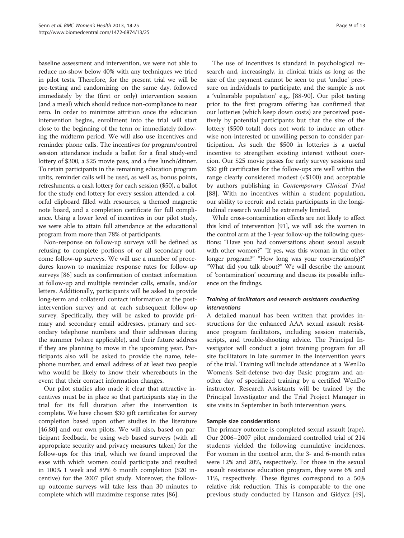baseline assessment and intervention, we were not able to reduce no-show below 40% with any techniques we tried in pilot tests. Therefore, for the present trial we will be pre-testing and randomizing on the same day, followed immediately by the (first or only) intervention session (and a meal) which should reduce non-compliance to near zero. In order to minimize attrition once the education intervention begins, enrollment into the trial will start close to the beginning of the term or immediately following the midterm period. We will also use incentives and reminder phone calls. The incentives for program/control session attendance include a ballot for a final study-end lottery of \$300, a \$25 movie pass, and a free lunch/dinner. To retain participants in the remaining education program units, reminder calls will be used, as well as, bonus points, refreshments, a cash lottery for each session (\$50), a ballot for the study-end lottery for every session attended, a colorful clipboard filled with resources, a themed magnetic note board, and a completion certificate for full compliance. Using a lower level of incentives in our pilot study, we were able to attain full attendance at the educational program from more than 78% of participants.

Non-response on follow-up surveys will be defined as refusing to complete portions of or all secondary outcome follow-up surveys. We will use a number of procedures known to maximize response rates for follow-up surveys [\[86\]](#page-14-0) such as confirmation of contact information at follow-up and multiple reminder calls, emails, and/or letters. Additionally, participants will be asked to provide long-term and collateral contact information at the postintervention survey and at each subsequent follow-up survey. Specifically, they will be asked to provide primary and secondary email addresses, primary and secondary telephone numbers and their addresses during the summer (where applicable), and their future address if they are planning to move in the upcoming year. Participants also will be asked to provide the name, telephone number, and email address of at least two people who would be likely to know their whereabouts in the event that their contact information changes.

Our pilot studies also made it clear that attractive incentives must be in place so that participants stay in the trial for its full duration after the intervention is complete. We have chosen \$30 gift certificates for survey completion based upon other studies in the literature [[46,](#page-13-0)[80\]](#page-14-0) and our own pilots. We will also, based on participant feedback, be using web based surveys (with all appropriate security and privacy measures taken) for the follow-ups for this trial, which we found improved the ease with which women could participate and resulted in 100% 1 week and 89% 6 month completion (\$20 incentive) for the 2007 pilot study. Moreover, the followup outcome surveys will take less than 30 minutes to complete which will maximize response rates [[86](#page-14-0)].

The use of incentives is standard in psychological research and, increasingly, in clinical trials as long as the size of the payment cannot be seen to put 'undue' pressure on individuals to participate, and the sample is not a 'vulnerable population' e.g., [[88-90](#page-14-0)]. Our pilot testing prior to the first program offering has confirmed that our lotteries (which keep down costs) are perceived positively by potential participants but that the size of the lottery (\$500 total) does not work to induce an otherwise non-interested or unwilling person to consider participation. As such the \$500 in lotteries is a useful incentive to strengthen existing interest without coercion. Our \$25 movie passes for early survey sessions and \$30 gift certificates for the follow-ups are well within the range clearly considered modest (<\$100) and acceptable by authors publishing in Contemporary Clinical Trial [[88\]](#page-14-0). With no incentives within a student population, our ability to recruit and retain participants in the longitudinal research would be extremely limited.

While cross-contamination effects are not likely to affect this kind of intervention [\[91\]](#page-14-0), we will ask the women in the control arm at the 1-year follow-up the following questions: "Have you had conversations about sexual assault with other women?" "If yes, was this woman in the other longer program?" "How long was your conversation(s)?" "What did you talk about?" We will describe the amount of 'contamination' occurring and discuss its possible influence on the findings.

## Training of facilitators and research assistants conducting interventions

A detailed manual has been written that provides instructions for the enhanced AAA sexual assault resistance program facilitators, including session materials, scripts, and trouble-shooting advice. The Principal Investigator will conduct a joint training program for all site facilitators in late summer in the intervention years of the trial. Training will include attendance at a WenDo Women's Self-defense two-day Basic program and another day of specialized training by a certified WenDo instructor. Research Assistants will be trained by the Principal Investigator and the Trial Project Manager in site visits in September in both intervention years.

## Sample size considerations

The primary outcome is completed sexual assault (rape). Our 2006–2007 pilot randomized controlled trial of 214 students yielded the following cumulative incidences. For women in the control arm, the 3- and 6-month rates were 12% and 20%, respectively. For those in the sexual assault resistance education program, they were 6% and 11%, respectively. These figures correspond to a 50% relative risk reduction. This is comparable to the one previous study conducted by Hanson and Gidycz [\[49](#page-13-0)],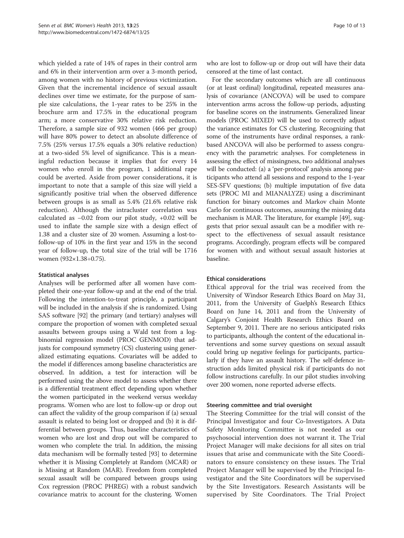which yielded a rate of 14% of rapes in their control arm and 6% in their intervention arm over a 3-month period, among women with no history of previous victimization. Given that the incremental incidence of sexual assault declines over time we estimate, for the purpose of sample size calculations, the 1-year rates to be 25% in the brochure arm and 17.5% in the educational program arm; a more conservative 30% relative risk reduction. Therefore, a sample size of 932 women (466 per group) will have 80% power to detect an absolute difference of 7.5% (25% versus 17.5% equals a 30% relative reduction) at a two-sided 5% level of significance. This is a meaningful reduction because it implies that for every 14 women who enroll in the program, 1 additional rape could be averted. Aside from power considerations, it is important to note that a sample of this size will yield a significantly positive trial when the observed difference between groups is as small as 5.4% (21.6% relative risk reduction). Although the intracluster correlation was calculated as −0.02 from our pilot study, +0.02 will be used to inflate the sample size with a design effect of 1.38 and a cluster size of 20 women. Assuming a lost-tofollow-up of 10% in the first year and 15% in the second year of follow-up, the total size of the trial will be 1716 women (932×1.38÷0.75).

#### Statistical analyses

Analyses will be performed after all women have completed their one-year follow-up and at the end of the trial. Following the intention-to-treat principle, a participant will be included in the analysis if she is randomized. Using SAS software [\[92\]](#page-14-0) the primary (and tertiary) analyses will compare the proportion of women with completed sexual assaults between groups using a Wald test from a logbinomial regression model (PROC GENMOD) that adjusts for compound symmetry (CS) clustering using generalized estimating equations. Covariates will be added to the model if differences among baseline characteristics are observed. In addition, a test for interaction will be performed using the above model to assess whether there is a differential treatment effect depending upon whether the women participated in the weekend versus weekday programs. Women who are lost to follow-up or drop out can affect the validity of the group comparison if (a) sexual assault is related to being lost or dropped and (b) it is differential between groups. Thus, baseline characteristics of women who are lost and drop out will be compared to women who complete the trial. In addition, the missing data mechanism will be formally tested [\[93](#page-14-0)] to determine whether it is Missing Completely at Random (MCAR) or is Missing at Random (MAR). Freedom from completed sexual assault will be compared between groups using Cox regression (PROC PHREG) with a robust sandwich covariance matrix to account for the clustering. Women

who are lost to follow-up or drop out will have their data censored at the time of last contact.

For the secondary outcomes which are all continuous (or at least ordinal) longitudinal, repeated measures analysis of covariance (ANCOVA) will be used to compare intervention arms across the follow-up periods, adjusting for baseline scores on the instruments. Generalized linear models (PROC MIXED) will be used to correctly adjust the variance estimates for CS clustering. Recognizing that some of the instruments have ordinal responses, a rankbased ANCOVA will also be performed to assess congruency with the parametric analyses. For completeness in assessing the effect of missingness, two additional analyses will be conducted: (a) a 'per-protocol' analysis among participants who attend all sessions and respond to the 1-year SES-SFV questions; (b) multiple imputation of five data sets (PROC MI and MIANALYZE) using a discriminant function for binary outcomes and Markov chain Monte Carlo for continuous outcomes, assuming the missing data mechanism is MAR. The literature, for example [[49](#page-13-0)], suggests that prior sexual assault can be a modifier with respect to the effectiveness of sexual assault resistance programs. Accordingly, program effects will be compared for women with and without sexual assault histories at baseline.

#### Ethical considerations

Ethical approval for the trial was received from the University of Windsor Research Ethics Board on May 31, 2011, from the University of Guelph's Research Ethics Board on June 14, 2011 and from the University of Calgary's Conjoint Health Research Ethics Board on September 9, 2011. There are no serious anticipated risks to participants, although the content of the educational interventions and some survey questions on sexual assault could bring up negative feelings for participants, particularly if they have an assault history. The self-defence instruction adds limited physical risk if participants do not follow instructions carefully. In our pilot studies involving over 200 women, none reported adverse effects.

#### Steering committee and trial oversight

The Steering Committee for the trial will consist of the Principal Investigator and four Co-Investigators. A Data Safety Monitoring Committee is not needed as our psychosocial intervention does not warrant it. The Trial Project Manager will make decisions for all sites on trial issues that arise and communicate with the Site Coordinators to ensure consistency on these issues. The Trial Project Manager will be supervised by the Principal Investigator and the Site Coordinators will be supervised by the Site Investigators. Research Assistants will be supervised by Site Coordinators. The Trial Project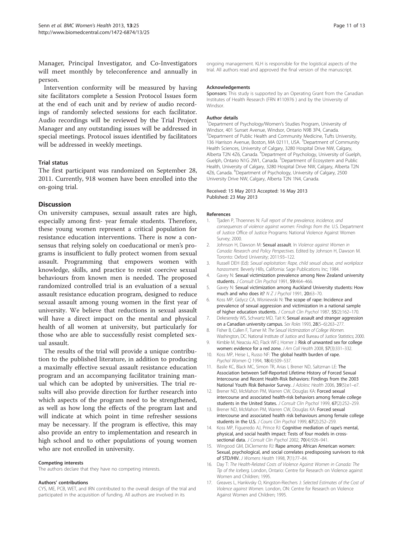<span id="page-12-0"></span>Manager, Principal Investigator, and Co-Investigators will meet monthly by teleconference and annually in person.

Intervention conformity will be measured by having site facilitators complete a Session Protocol Issues form at the end of each unit and by review of audio recordings of randomly selected sessions for each facilitator. Audio recordings will be reviewed by the Trial Project Manager and any outstanding issues will be addressed in special meetings. Protocol issues identified by facilitators will be addressed in weekly meetings.

#### Trial status

The first participant was randomized on September 28, 2011. Currently, 918 women have been enrolled into the on-going trial.

#### **Discussion**

On university campuses, sexual assault rates are high, especially among first- year female students. Therefore, these young women represent a critical population for resistance education interventions. There is now a consensus that relying solely on coeducational or men's programs is insufficient to fully protect women from sexual assault. Programming that empowers women with knowledge, skills, and practice to resist coercive sexual behaviours from known men is needed. The proposed randomized controlled trial is an evaluation of a sexual assault resistance education program, designed to reduce sexual assault among young women in the first year of university. We believe that reductions in sexual assault will have a direct impact on the mental and physical health of all women at university, but particularly for those who are able to successfully resist completed sexual assault.

The results of the trial will provide a unique contribution to the published literature, in addition to producing a maximally effective sexual assault resistance education program and an accompanying facilitator training manual which can be adopted by universities. The trial results will also provide direction for further research into which aspects of the program need to be strengthened, as well as how long the effects of the program last and will indicate at which point in time refresher sessions may be necessary. If the program is effective, this may also provide an entry to implementation and research in high school and to other populations of young women who are not enrolled in university.

#### Competing interests

The authors declare that they have no competing interests.

#### Authors' contributions

CYS, ME, PCB, WET, and IRN contributed to the overall design of the trial and participated in the acquisition of funding. All authors are involved in its

ongoing management. KLH is responsible for the logistical aspects of the trial. All authors read and approved the final version of the manuscript.

#### Acknowledgements

Sponsors: This study is supported by an Operating Grant from the Canadian Institutes of Health Research (FRN #110976 ) and by the University of Windsor.

#### Author details

1 Department of Psychology/Women's Studies Program, University of Windsor, 401 Sunset Avenue, Windsor, Ontario N9B 3P4, Canada. <sup>2</sup> Department of Public Health and Community Medicine, Tufts University, 136 Harrison Avenue, Boston, MA 02111, USA. <sup>3</sup>Department of Community Health Sciences, University of Calgary, 3280 Hospital Drive NW, Calgary, Alberta T2N 4Z6, Canada. <sup>4</sup>Department of Psychology, University of Guelph Guelph, Ontario N1G 2W1, Canada. <sup>5</sup>Department of Ecosystem and Public Health, University of Calgary, 3280 Hospital Drive NW, Calgary, Alberta T2N 4Z6, Canada. <sup>6</sup>Department of Psychology, University of Calgary, 2500 University Drive NW, Calgary, Alberta T2N 1N4, Canada.

#### Received: 15 May 2013 Accepted: 16 May 2013 Published: 23 May 2013

#### References

- Tjaden P, Thoennes N: Full report of the prevalence, incidence, and consequences of violence against women: Findings from the. U.S. Department of Justice Office of Justice Programs: National Violence Against Women Survey; 2000.
- 2. Johnson H, Dawson M: Sexual assault. In Violence against Women in Canada: Research and Policy Perspectives. Edited by Johnson H, Dawson M. Toronto: Oxford University; 2011:93–122.
- 3. Russell DEH (Ed): Sexual exploitation: Rape, child sexual abuse, and workplace harassment. Beverly Hills, California: Sage Publications Inc; 1984.
- 4. Gavey N: Sexual victimization prevalence among New Zealand university students. J Consult Clin Psychol 1991, 59:464-466.
- 5. Gavey N: Sexual victimization among Auckland University students: How much and who does it? N Z J Psychol 1991, 20:63-70.
- 6. Koss MP, Gidycz CA, Wisniewski N: The scope of rape: Incidence and prevalence of sexual aggression and victimization in a national sample of higher education students. J Consult Clin Psychol 1987, 55(2):162–170.
- 7. Dekeseredy WS, Schwartz MD, Tait K: Sexual assault and stranger aggression on a Canadian university campus. Sex Roles 1993, 28(5–6):263–277.
- 8. Fisher B, Cullen F, Turner M: The Sexual Victimization of College Women. Washington, DC: National Institute of Justice and Bureau of Justice Statistics; 2000.
- 9. Kimble M, Neacsiu AD, Flack WFJ, Horner J: Risk of unwanted sex for college women: evidence for a red zone. J Am Coll Health 2008, 57(3):331–332.
- 10. Koss MP, Heise L, Russo NF: The global health burden of rape. Psychol Women Q 1994, 18(4):509–537.
- 11. Basile KC, Black MC, Simon TR, Arias I, Brener ND, Saltzman LE: The Association between Self-Reported Lifetime History of Forced Sexual Intercourse and Recent Health-Risk Behaviors: Findings from the 2003 National Youth Risk Behavior Survey. J Adolesc Health 2006, 39(5):e1–e7.
- 12. Brener ND, McMahon PM, Warren CW, Douglas KA: Forced sexual intercourse and associated health-risk behaviors among female college students in the United States. J Consult Clin Psychol 1999, 67(2):252-259.
- 13. Brener ND, McMahon PM, Warren CW, Douglas KA: Forced sexual intercourse and associated health risk behaviours among female college students in the U.S. J Couns Clin Psychol 1999, 67(2):252-259.
- 14. Koss MP, Figueredo AJ, Prince RJ: Cognitive mediation of rape's mental, physical, and social health impact: Tests of four models in crosssectional data. J Consult Clin Psychol 2002, 70(4):926–941.
- 15. Wingood GM, DiClemente RJ: Rape among African American women: Sexual, psychological, and social correlates predisposing survivors to risk of STD/HIV. J Womens Health 1998, 7(1):77–84.
- 16. Day T: The Health-Related Costs of Violence Against Women in Canada: The Tip of the Iceberg. London, Ontario: Centre for Research on Violence against Women and Children; 1995.
- 17. Greaves L, Hankivsky O, Kingston-Riechers J: Selected Estimates of the Cost of Violence against Women. London, ON: Centre for Research on Violence Against Women and Children; 1995.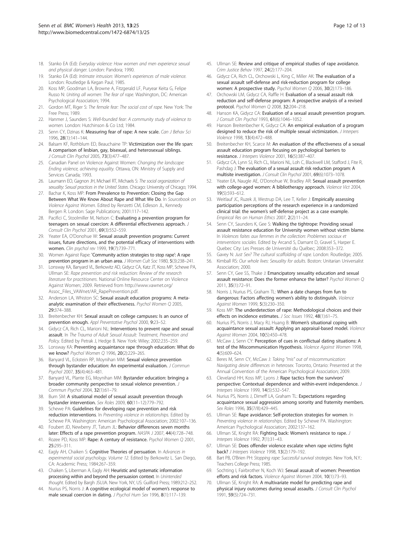- <span id="page-13-0"></span>18. Stanko EA (Ed): Everyday violence: How women and men experience sexual and physical danger. London: Pandora; 1990.
- 19. Stanko EA (Ed): Intimate intrusion: Women's experiences of male violence. London: Routledge & Kegan Paul; 1985.
- 20. Koss MP, Goodman LA, Browne A, Fitzgerald LF, Puryear Keita G, Felipe Russo N: Uniting all women: The fear of rape. Washington, DC: American Psychological Association; 1994.
- 21. Gordon MT, Riger S: The female fear: The social cost of rape. New York: The Free Press; 1989.
- 22. Hanmer J, Saunders S: Well-founded fear: A community study of violence to women. London: Hutchinson & Co Ltd; 1984.
- 23. Senn CY, Dzinas K: Measuring fear of rape: A new scale. Can J Behav Sci 1996, 28(1):141–144.
- 24. Balsam KF, Rothblum ED, Beauchaine TP: Victimization over the life span: A comparison of lesbian, gay, bisexual, and heterosexual siblings. J Consult Clin Psychol 2005, 73(3):477–487.
- 25. Canadian Panel on Violence Against Women: Changing the landscape: Ending violence, achieving equality. Ottawa, ON: Ministry of Supply and Services Canada; 1993.
- 26. Laumann EO, Gagnon JH, Michael RT, Michaels S: The social organization of sexuality: Sexual practices in the United States. Chicago: University of Chicago; 1994.
- 27. Bachar K, Koss MP: From Prevalence to Prevention: Closing the Gap Between What We Know About Rape and What We Do. In Sourcebook on Violence Against Women. Edited by Renzetti CM, Edleson JL, Kennedy Bergen R. London: Sage Publications; 2001:117–142.
- 28. Pacifici C, Stoolmiller M, Nelson C: Evaluating a prevention program for teenagers on sexual coercion: A differential effectiveness approach. J Consult Clin Psychol 2001, 69(3):552–559.
- 29. Yeater EA, O'Donohue W: Sexual assault prevention programs: Current issues, future directions, and the potential efficacy of interventions with women. Clin psychol rev 1999, 19(7):739–771.
- 30. Women Against Rape: 'Community action strategies to stop rape': A rape prevention program in an urban area. J Women Cult Soc 1980, 5(3):238-241.
- 31. Lonsway KA, Banyard VL, Berkowitz AD, Gidycz CA, Katz JT, Koss MP, Schewe PA, Ullman SE: Rape prevention and risk reduction: Review of the research literature for practitioners. National Online Resource Center on Violence Against Women; 2009. Retrieved from [http://www.vawnet.org/](http://www.vawnet.org/Assoc_Files_VAWnet/AR_RapePrevention.pdf) [Assoc\\_Files\\_VAWnet/AR\\_RapePrevention.pdf.](http://www.vawnet.org/Assoc_Files_VAWnet/AR_RapePrevention.pdf)
- 32. Anderson LA, Whiston SC: Sexual assault education programs: A metaanalytic examination of their effectiveness. Psychol Women Q 2005, 29:374–388.
- 33. Breitenbecher KH: Sexual assault on college campuses: Is an ounce of prevention enough. Appl Preventative Psychol 2000, 9:23–52.
- 34. Gidycz CA, Rich CL, Marioni NL: Interventions to prevent rape and sexual assault. In The Trauma of Adult Sexual Assault: Treatment, Prevention and Policy. Edited by Petrak J, Hedge B. New York: Wiley; 2002:235–259.
- 35. Lonsway KA: Preventing acquaintance rape through education: What do we know? Psychol Women Q 1996, 20(2):229–265.
- 36. Banyard VL, Eckstein RP, Moynihan MM: Sexual violence prevention through bystander education: An experimental evaluation. J Commun Psychol 2007, 35(4):463–481.
- 37. Banyard VL, Plante EG, Moynihan MM: Bystander education: bringing a broader community perspective to sexual violence prevention. J Commun Psychol 2004, 32(1):61–79.
- 38. Burn SM: A situational model of sexual assault prevention through bystander intervention. Sex Roles 2009, 60(11–12):779–792.
- 39. Schewe PA: Guidelines for developing rape prevention and risk reduction interventions. In Preventing violence in relationships. Edited by Schewe PA. Washington: American Psychological Association; 2002:107–136.
- 40. Foubert JD, Newberry JT, Tatum JL: Behavior differences seven months later: Effects of a rape prevention program. NASPA J 2007, 44(4):728–748.
- 41. Rozee PD, Koss MP: Rape: A century of resistance. Psychol Women Q 2001, 25:295–311.
- 42. Eagly AH, Chaiken S: Cognitive Theories of persuation. In Advances in experimental social psychology. Volume 12. Edited by Berkowitz L. San Diego, CA: Academic Press; 1984:267–359.
- 43. Chaiken S, Liberman A, Eagly AH: Heuristic and systematic information processing within and beyond the persuasion context. In Unintended thought. Edited by Bargh JSUJA. New York, NY, US: Guilford Press; 1989:212–252.
- 44. Nurius PS, Norris J: A cognitive ecological model of women's response to male sexual coercion in dating. J Psychol Hum Sex 1996, 8(1):117-139.
- 45. Ullman SE: Review and critique of empirical studies of rape avoidance. Crim Justice Behav 1997, 24(2):177–204.
- 46. Gidycz CA, Rich CL, Orchowski L, King C, Miller AK: The evaluation of a sexual assault self-defense and risk-reduction program for college women: A prospective study. Psychol Women O 2006, 30(2):173-186.
- 47. Orchowski LM, Gidycz CA, Raffle H: Evaluation of a sexual assault risk reduction and self-defense program: A prospective analysis of a revised protocol. Psychol Women Q 2008, 32:204–218.
- 48. Hanson KA, Gidycz CA: Evaluation of a sexual assault prevention program. J Consult Clin Psychol 1993, 61(6):1046–1052.
- Hanson Breitenbecher K, Gidycz CA: An empirical evaluation of a program designed to reduce the risk of multiple sexual victimization. *J Interpers* Violence 1998, 13(4):472–488.
- 50. Breitenbecher KH, Scarce M: An evaluation of the effectiveness of a sexual assault education program focusing on pychological barriers to resistance. J Interpers Violence 2001, 16(5):387–407.
- 51. Gidycz CA, Lynn SJ, Rich CL, Marioni NL, Loh C, Blackwell LM, Stafford J, Fite R, Pashdag J: The evaluation of a sexual assault risk reduction program: A multisite investigation. J Consult Clin Psychol 2001, 69(6):1073–1078.
- 52. Yeater EA, Naugle AE, O'Donohue W, Bradley AR: Sexual assault prevention with college-aged women: A bibliotherapy approach. Violence Vict 2004, 19(5):593–612.
- 53. Weitlauf JC, Ruzek JI, Westrup DA, Lee T, Keller J: Empirically assessing participation perceptions of the research experience in a randomized clinical trial: the women's self-defense project as a case example. Empirical Res on Human Ethics 2007, 2(2):11–24.
- 54. Senn CY, Saunders K, Gee S: Walking the tightrope: Providing sexual assault resistance education for University women without victim blame. In Violences faites aux femmes in the collection: Problemes sociaux et interventions sociales. Edited by Arcand S, Damant D, Gravel S, Harper E. Quebec City: Les Presses de Université du Québec; 2008:353–372.
- 55. Gavey N: Just Sex? The cultural scaffolding of rape. London: Routledge; 2005.
- 56. Kimball RS: Our whole lives: Sexuality for adults. Boston: Unitarian Universalist Association; 2000.
- 57. Senn CY, Gee SS, Thake J: Emancipatory sexuality education and sexual assault resistance: Does the former enhance the latter? Psychol Women Q 2011, 35(1):72–91.
- 58. Norris J, Nurius PS, Graham TL: When a date changes from fun to dangerous: Factors affecting women's ability to distinguish. Violence Against Women 1999, 5(3):230-350.
- 59. Koss MP: The underdetection of rape: Methodological choices and their effects on incidence estimates. J Soc Issues 1992, 48(1):61-75.
- 60. Nurius PS, Norris J, Macy RJ, Huang B: Women's situational coping with acquaintance sexual assault: Applying an appraisal-based model. Violence Against Women 2004, 10(5):450–478.
- 61. McCaw J, Senn CY: Perception of cues in conflictual dating situations: A test of the Miscommunication Hypothesis. Violence Against Women 1998, 4(5):609–624.
- 62. Beres M, Senn CY, McCaw J: Taking "mis" out of miscommunication: Navigating desire differences in heterosex. Toronto, Ontario: Presented at the Annual Convention of the American Psychological Association; 2009.
- 63. Cleveland HH, Koss MP, Lyons J: Rape tactics from the survivors' perspective: Contextual dependence and within-event independence. J Interpers Violence 1999, 14(5):532–547.
- 64. Nurius PS, Norris J, Dimeff LA, Graham TL: Expectations regarding acquaintance sexual aggression among sorority and fraternity members. Sex Roles 1996, 35(7/8):429-445.
- 65. Ullman SE: Rape avoidance: Self-protection strategies for women. In Preventing violence in relationships. Edited by Schewe PA. Washington: American Psychological Association; 2002:137–162.
- 66. Ullman SE, Knight RA: Fighting back: Women's resistance to rape. J Interpers Violence 1992, 7(1):31–43.
- 67. Ullman SE: Does offender violence escalate when rape victims fight back? J Interpers Violence 1998, 13(2):179–192.
- 68. Bart PB, O'Brien PH: Stopping rape: Successful survival strategies. New York, N.Y.: Teachers College Press; 1985.
- 69. Sochting I, Fairbrother N, Koch WJ: Sexual assault of women: Prevention efforts and risk factors. Violence Against Women 2004, 10(1):73–93.
- 70. Ullman SE, Knight RA: A multivariate model for predicting rape and physical injury outcomes during sexual assaults. J Consult Clin Psychol 1991, 59(5):724–731.